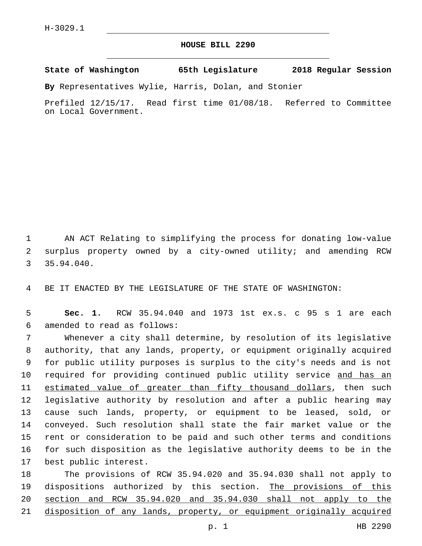## **HOUSE BILL 2290**

**State of Washington 65th Legislature 2018 Regular Session**

**By** Representatives Wylie, Harris, Dolan, and Stonier

Prefiled 12/15/17. Read first time 01/08/18. Referred to Committee on Local Government.

1 AN ACT Relating to simplifying the process for donating low-value 2 surplus property owned by a city-owned utility; and amending RCW 35.94.040.

4 BE IT ENACTED BY THE LEGISLATURE OF THE STATE OF WASHINGTON:

5 **Sec. 1.** RCW 35.94.040 and 1973 1st ex.s. c 95 s 1 are each amended to read as follows:6

 Whenever a city shall determine, by resolution of its legislative authority, that any lands, property, or equipment originally acquired for public utility purposes is surplus to the city's needs and is not 10 required for providing continued public utility service and has an estimated value of greater than fifty thousand dollars, then such legislative authority by resolution and after a public hearing may cause such lands, property, or equipment to be leased, sold, or conveyed. Such resolution shall state the fair market value or the rent or consideration to be paid and such other terms and conditions for such disposition as the legislative authority deems to be in the 17 best public interest.

 The provisions of RCW 35.94.020 and 35.94.030 shall not apply to 19 dispositions authorized by this section. The provisions of this section and RCW 35.94.020 and 35.94.030 shall not apply to the disposition of any lands, property, or equipment originally acquired